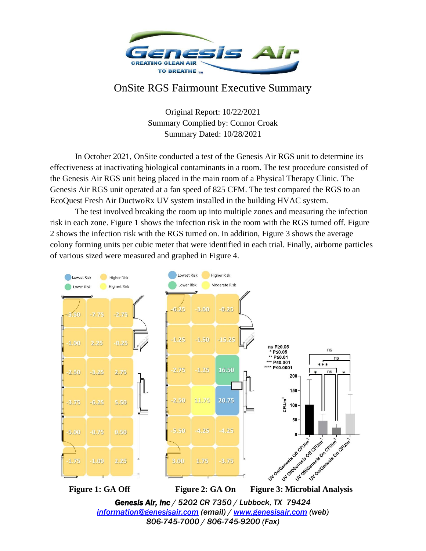

## OnSite RGS Fairmount Executive Summary

Original Report: 10/22/2021 Summary Complied by: Connor Croak Summary Dated: 10/28/2021

In October 2021, OnSite conducted a test of the Genesis Air RGS unit to determine its effectiveness at inactivating biological contaminants in a room. The test procedure consisted of the Genesis Air RGS unit being placed in the main room of a Physical Therapy Clinic. The Genesis Air RGS unit operated at a fan speed of 825 CFM. The test compared the RGS to an EcoQuest Fresh Air DuctwoRx UV system installed in the building HVAC system.

The test involved breaking the room up into multiple zones and measuring the infection risk in each zone. Figure 1 shows the infection risk in the room with the RGS turned off. Figure 2 shows the infection risk with the RGS turned on. In addition, Figure 3 shows the average colony forming units per cubic meter that were identified in each trial. Finally, airborne particles of various sized were measured and graphed in Figure 4.



*[information@genesisair.com](mailto:information@genesisair.com) (email) / [www.genesisair.com](http://www.genesisair.com/) (web) 806-745-7000 / 806-745-9200 (Fax)*